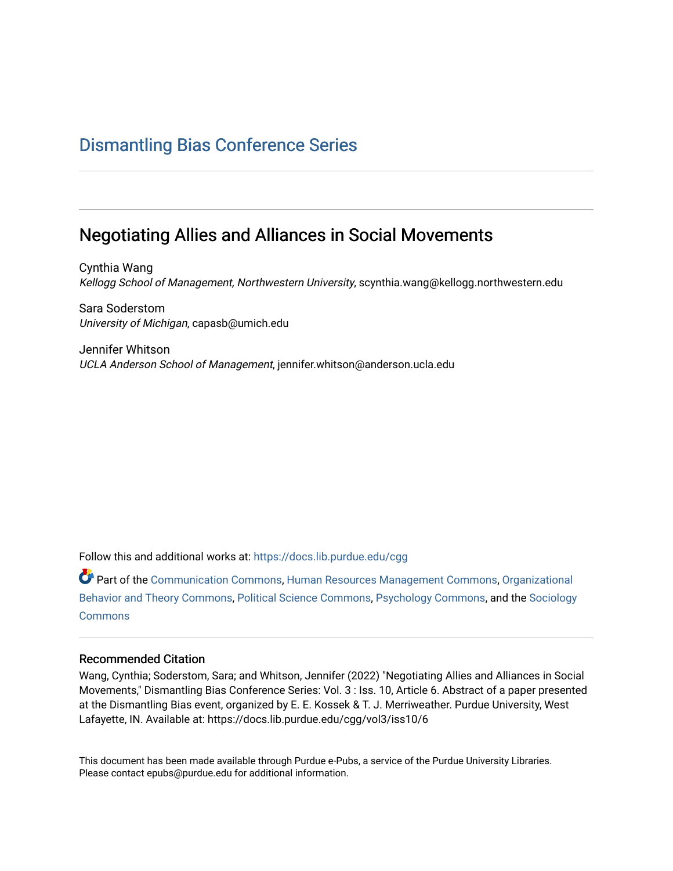# [Dismantling Bias Conference Series](https://docs.lib.purdue.edu/cgg)

# Negotiating Allies and Alliances in Social Movements

Cynthia Wang Kellogg School of Management, Northwestern University, scynthia.wang@kellogg.northwestern.edu

Sara Soderstom University of Michigan, capasb@umich.edu

Jennifer Whitson UCLA Anderson School of Management, jennifer.whitson@anderson.ucla.edu

Follow this and additional works at: [https://docs.lib.purdue.edu/cgg](https://docs.lib.purdue.edu/cgg?utm_source=docs.lib.purdue.edu%2Fcgg%2Fvol3%2Fiss10%2F6&utm_medium=PDF&utm_campaign=PDFCoverPages)

Part of the [Communication Commons,](https://network.bepress.com/hgg/discipline/325?utm_source=docs.lib.purdue.edu%2Fcgg%2Fvol3%2Fiss10%2F6&utm_medium=PDF&utm_campaign=PDFCoverPages) [Human Resources Management Commons,](https://network.bepress.com/hgg/discipline/633?utm_source=docs.lib.purdue.edu%2Fcgg%2Fvol3%2Fiss10%2F6&utm_medium=PDF&utm_campaign=PDFCoverPages) [Organizational](https://network.bepress.com/hgg/discipline/639?utm_source=docs.lib.purdue.edu%2Fcgg%2Fvol3%2Fiss10%2F6&utm_medium=PDF&utm_campaign=PDFCoverPages) [Behavior and Theory Commons,](https://network.bepress.com/hgg/discipline/639?utm_source=docs.lib.purdue.edu%2Fcgg%2Fvol3%2Fiss10%2F6&utm_medium=PDF&utm_campaign=PDFCoverPages) [Political Science Commons,](https://network.bepress.com/hgg/discipline/386?utm_source=docs.lib.purdue.edu%2Fcgg%2Fvol3%2Fiss10%2F6&utm_medium=PDF&utm_campaign=PDFCoverPages) [Psychology Commons,](https://network.bepress.com/hgg/discipline/404?utm_source=docs.lib.purdue.edu%2Fcgg%2Fvol3%2Fiss10%2F6&utm_medium=PDF&utm_campaign=PDFCoverPages) and the [Sociology](https://network.bepress.com/hgg/discipline/416?utm_source=docs.lib.purdue.edu%2Fcgg%2Fvol3%2Fiss10%2F6&utm_medium=PDF&utm_campaign=PDFCoverPages) **[Commons](https://network.bepress.com/hgg/discipline/416?utm_source=docs.lib.purdue.edu%2Fcgg%2Fvol3%2Fiss10%2F6&utm_medium=PDF&utm_campaign=PDFCoverPages)** 

### Recommended Citation

Wang, Cynthia; Soderstom, Sara; and Whitson, Jennifer (2022) "Negotiating Allies and Alliances in Social Movements," Dismantling Bias Conference Series: Vol. 3 : Iss. 10, Article 6. Abstract of a paper presented at the Dismantling Bias event, organized by E. E. Kossek & T. J. Merriweather. Purdue University, West Lafayette, IN. Available at: https://docs.lib.purdue.edu/cgg/vol3/iss10/6

This document has been made available through Purdue e-Pubs, a service of the Purdue University Libraries. Please contact epubs@purdue.edu for additional information.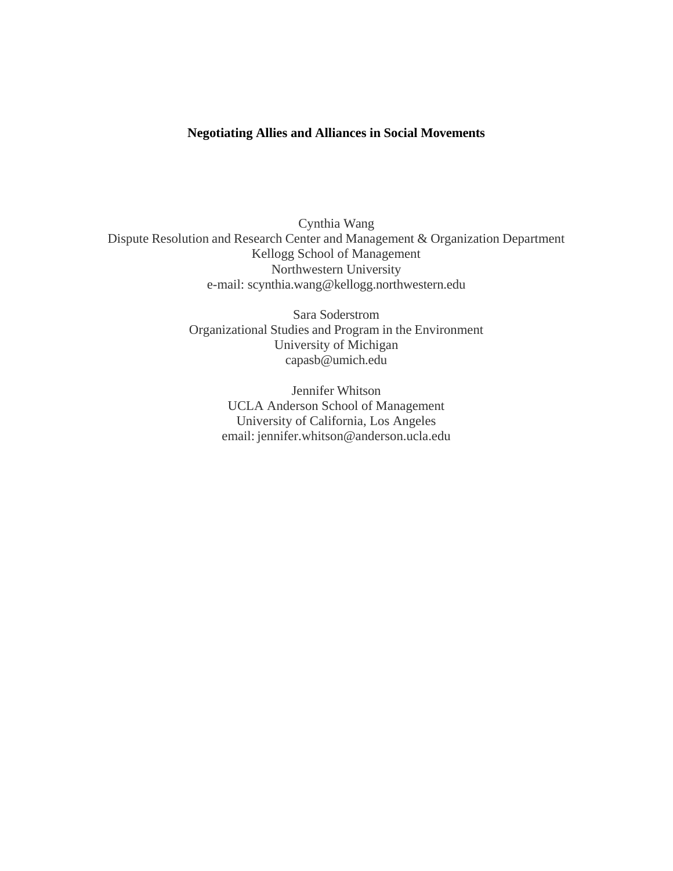## **Negotiating Allies and Alliances in Social Movements**

Cynthia Wang Dispute Resolution and Research Center and Management & Organization Department Kellogg School of Management Northwestern University e-mail: [scynthia.wang@kellogg.northwestern.edu](mailto:scynthia.wang@kellogg.northwestern.edu)

> Sara Soderstrom Organizational Studies and Program in the Environment University of Michigan [capasb@umich.edu](mailto:capasb@umich.edu)

> > Jennifer Whitson UCLA Anderson School of Management University of California, Los Angeles email: [jennifer.whitson@anderson.ucla.edu](mailto:jennifer.whitson@anderson.ucla.edu)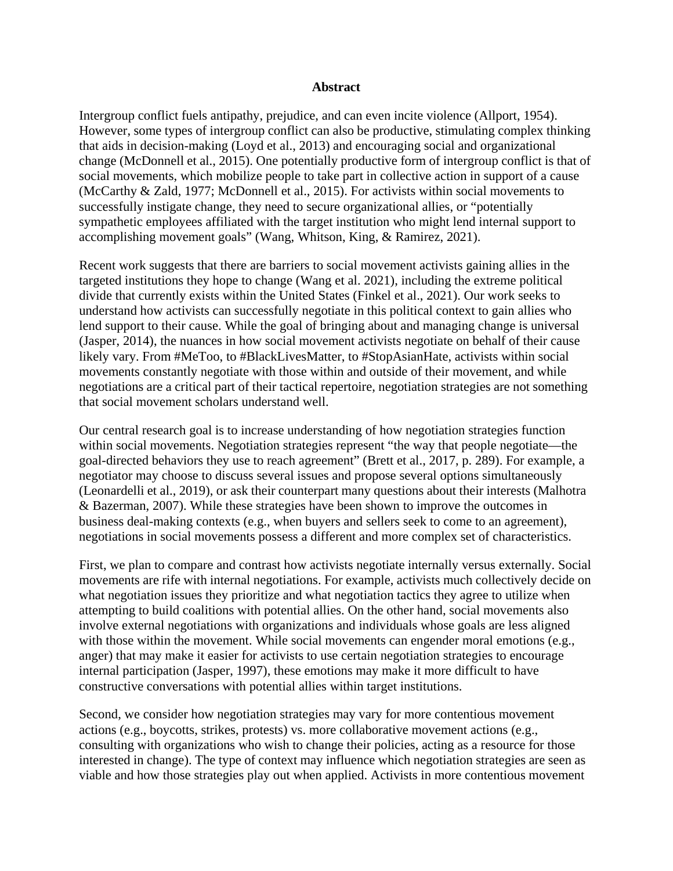## **Abstract**

Intergroup conflict fuels antipathy, prejudice, and can even incite violence (Allport, 1954). However, some types of intergroup conflict can also be productive, stimulating complex thinking that aids in decision-making (Loyd et al., 2013) and encouraging social and organizational change (McDonnell et al., 2015). One potentially productive form of intergroup conflict is that of social movements, which mobilize people to take part in collective action in support of a cause (McCarthy & Zald, 1977; McDonnell et al., 2015). For activists within social movements to successfully instigate change, they need to secure organizational allies, or "potentially sympathetic employees affiliated with the target institution who might lend internal support to accomplishing movement goals" (Wang, Whitson, King, & Ramirez, 2021).

Recent work suggests that there are barriers to social movement activists gaining allies in the targeted institutions they hope to change (Wang et al. 2021), including the extreme political divide that currently exists within the United States (Finkel et al., 2021). Our work seeks to understand how activists can successfully negotiate in this political context to gain allies who lend support to their cause. While the goal of bringing about and managing change is universal (Jasper, 2014), the nuances in how social movement activists negotiate on behalf of their cause likely vary. From #MeToo, to #BlackLivesMatter, to #StopAsianHate, activists within social movements constantly negotiate with those within and outside of their movement, and while negotiations are a critical part of their tactical repertoire, negotiation strategies are not something that social movement scholars understand well.

Our central research goal is to increase understanding of how negotiation strategies function within social movements. Negotiation strategies represent "the way that people negotiate—the goal-directed behaviors they use to reach agreement" (Brett et al., 2017, p. 289). For example, a negotiator may choose to discuss several issues and propose several options simultaneously (Leonardelli et al., 2019), or ask their counterpart many questions about their interests (Malhotra & Bazerman, 2007). While these strategies have been shown to improve the outcomes in business deal-making contexts (e.g., when buyers and sellers seek to come to an agreement), negotiations in social movements possess a different and more complex set of characteristics.

First, we plan to compare and contrast how activists negotiate internally versus externally. Social movements are rife with internal negotiations. For example, activists much collectively decide on what negotiation issues they prioritize and what negotiation tactics they agree to utilize when attempting to build coalitions with potential allies. On the other hand, social movements also involve external negotiations with organizations and individuals whose goals are less aligned with those within the movement. While social movements can engender moral emotions (e.g., anger) that may make it easier for activists to use certain negotiation strategies to encourage internal participation (Jasper, 1997), these emotions may make it more difficult to have constructive conversations with potential allies within target institutions.

Second, we consider how negotiation strategies may vary for more contentious movement actions (e.g., boycotts, strikes, protests) vs. more collaborative movement actions (e.g., consulting with organizations who wish to change their policies, acting as a resource for those interested in change). The type of context may influence which negotiation strategies are seen as viable and how those strategies play out when applied. Activists in more contentious movement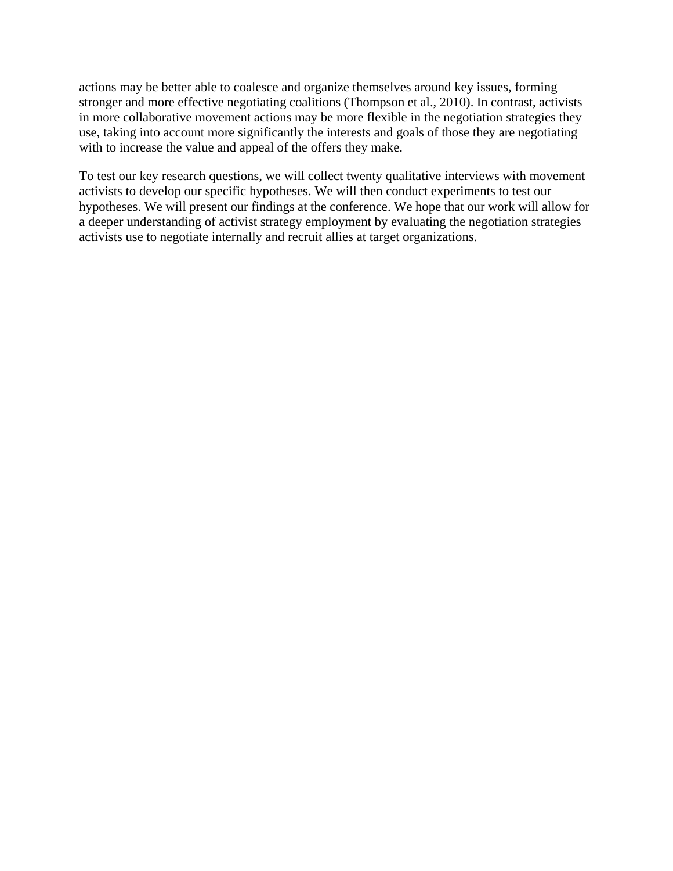actions may be better able to coalesce and organize themselves around key issues, forming stronger and more effective negotiating coalitions (Thompson et al., 2010). In contrast, activists in more collaborative movement actions may be more flexible in the negotiation strategies they use, taking into account more significantly the interests and goals of those they are negotiating with to increase the value and appeal of the offers they make.

To test our key research questions, we will collect twenty qualitative interviews with movement activists to develop our specific hypotheses. We will then conduct experiments to test our hypotheses. We will present our findings at the conference. We hope that our work will allow for a deeper understanding of activist strategy employment by evaluating the negotiation strategies activists use to negotiate internally and recruit allies at target organizations.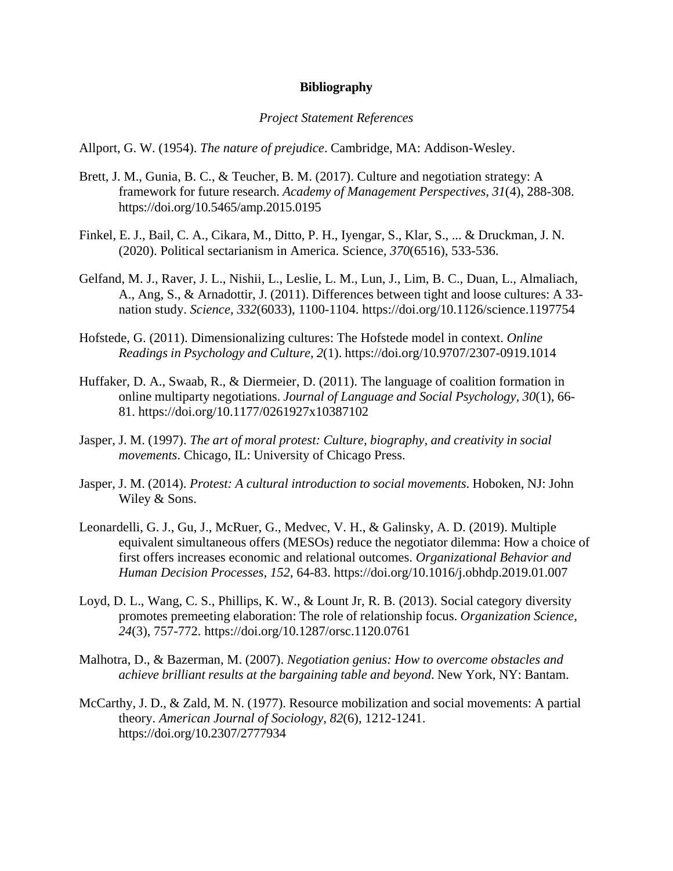## **Bibliography**

#### *Project Statement References*

Allport, G. W. (1954). *The nature of prejudice*. Cambridge, MA: Addison-Wesley.

- Brett, J. M., Gunia, B. C., & Teucher, B. M. (2017). Culture and negotiation strategy: A framework for future research. *Academy of Management Perspectives, 31*(4), 288-308. https://doi.org/10.5465/amp.2015.0195
- Finkel, E. J., Bail, C. A., Cikara, M., Ditto, P. H., Iyengar, S., Klar, S., ... & Druckman, J. N. (2020). Political sectarianism in America. Science, *370*(6516), 533-536.
- Gelfand, M. J., Raver, J. L., Nishii, L., Leslie, L. M., Lun, J., Lim, B. C., Duan, L., Almaliach, A., Ang, S., & Arnadottir, J. (2011). Differences between tight and loose cultures: A 33 nation study. *Science, 332*(6033), 1100-1104. https://doi.org/10.1126/science.1197754
- Hofstede, G. (2011). Dimensionalizing cultures: The Hofstede model in context. *Online Readings in Psychology and Culture, 2*(1). https://doi.org/10.9707/2307-0919.1014
- Huffaker, D. A., Swaab, R., & Diermeier, D. (2011). The language of coalition formation in online multiparty negotiations. *Journal of Language and Social Psychology, 30*(1), 66- 81. https://doi.org/10.1177/0261927x10387102
- Jasper, J. M. (1997). *The art of moral protest: Culture, biography, and creativity in social movements*. Chicago, IL: University of Chicago Press.
- Jasper, J. M. (2014). *Protest: A cultural introduction to social movements*. Hoboken, NJ: John Wiley & Sons.
- Leonardelli, G. J., Gu, J., McRuer, G., Medvec, V. H., & Galinsky, A. D. (2019). Multiple equivalent simultaneous offers (MESOs) reduce the negotiator dilemma: How a choice of first offers increases economic and relational outcomes. *Organizational Behavior and Human Decision Processes, 152*, 64-83. https://doi.org/10.1016/j.obhdp.2019.01.007
- Loyd, D. L., Wang, C. S., Phillips, K. W., & Lount Jr, R. B. (2013). Social category diversity promotes premeeting elaboration: The role of relationship focus. *Organization Science, 24*(3), 757-772. https://doi.org/10.1287/orsc.1120.0761
- Malhotra, D., & Bazerman, M. (2007). *Negotiation genius: How to overcome obstacles and achieve brilliant results at the bargaining table and beyond*. New York, NY: Bantam.
- McCarthy, J. D., & Zald, M. N. (1977). Resource mobilization and social movements: A partial theory. *American Journal of Sociology, 82*(6), 1212-1241. https://doi.org/10.2307/2777934